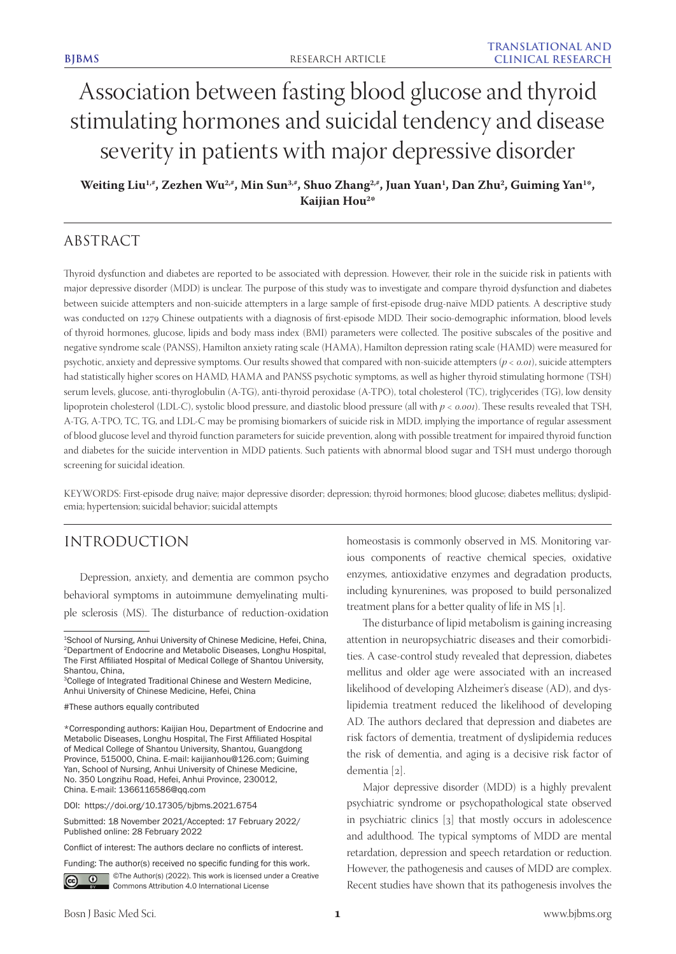# Association between fasting blood glucose and thyroid stimulating hormones and suicidal tendency and disease severity in patients with major depressive disorder

Weiting Liu<sup>1,#</sup>, Zezhen Wu<sup>2,#</sup>, Min Sun<sup>3,#</sup>, Shuo Zhang<sup>2,#</sup>, Juan Yuan<sup>1</sup>, Dan Zhu<sup>2</sup>, Guiming Yan<sup>1</sup>\*, **Kaijian Hou2 \***

# ABSTRACT

Thyroid dysfunction and diabetes are reported to be associated with depression. However, their role in the suicide risk in patients with major depressive disorder (MDD) is unclear. The purpose of this study was to investigate and compare thyroid dysfunction and diabetes between suicide attempters and non-suicide attempters in a large sample of first-episode drug-naïve MDD patients. A descriptive study was conducted on 1279 Chinese outpatients with a diagnosis of first-episode MDD. Their socio-demographic information, blood levels of thyroid hormones, glucose, lipids and body mass index (BMI) parameters were collected. The positive subscales of the positive and negative syndrome scale (PANSS), Hamilton anxiety rating scale (HAMA), Hamilton depression rating scale (HAMD) were measured for psychotic, anxiety and depressive symptoms. Our results showed that compared with non-suicide attempters (*p < 0.01*), suicide attempters had statistically higher scores on HAMD, HAMA and PANSS psychotic symptoms, as well as higher thyroid stimulating hormone (TSH) serum levels, glucose, anti-thyroglobulin (A-TG), anti-thyroid peroxidase (A-TPO), total cholesterol (TC), triglycerides (TG), low density lipoprotein cholesterol (LDL-C), systolic blood pressure, and diastolic blood pressure (all with *p < 0.001*). These results revealed that TSH, A-TG, A-TPO, TC, TG, and LDL-C may be promising biomarkers of suicide risk in MDD, implying the importance of regular assessment of blood glucose level and thyroid function parameters for suicide prevention, along with possible treatment for impaired thyroid function and diabetes for the suicide intervention in MDD patients. Such patients with abnormal blood sugar and TSH must undergo thorough screening for suicidal ideation.

KEYWORDS: First-episode drug naïve; major depressive disorder; depression; thyroid hormones; blood glucose; diabetes mellitus; dyslipidemia; hypertension; suicidal behavior; suicidal attempts

# INTRODUCTION

Depression, anxiety, and dementia are common psycho behavioral symptoms in autoimmune demyelinating multiple sclerosis (MS). The disturbance of reduction-oxidation

Submitted: 18 November 2021/Accepted: 17 February 2022/ Published online: 28 February 2022

Conflict of interest: The authors declare no conflicts of interest.

Funding: The author(s) received no specific funding for this work.



**i**  $\bullet$  **C**The Author(s) (2022). This work is licensed under a Creative Commons Attribution 4.0 International License

homeostasis is commonly observed in MS. Monitoring various components of reactive chemical species, oxidative enzymes, antioxidative enzymes and degradation products, including kynurenines, was proposed to build personalized treatment plans for a better quality of life in MS [1].

The disturbance of lipid metabolism is gaining increasing attention in neuropsychiatric diseases and their comorbidities. A case-control study revealed that depression, diabetes mellitus and older age were associated with an increased likelihood of developing Alzheimer's disease (AD), and dyslipidemia treatment reduced the likelihood of developing AD. The authors declared that depression and diabetes are risk factors of dementia, treatment of dyslipidemia reduces the risk of dementia, and aging is a decisive risk factor of dementia [2].

Major depressive disorder (MDD) is a highly prevalent psychiatric syndrome or psychopathological state observed in psychiatric clinics [3] that mostly occurs in adolescence and adulthood. The typical symptoms of MDD are mental retardation, depression and speech retardation or reduction. However, the pathogenesis and causes of MDD are complex. Recent studies have shown that its pathogenesis involves the

<sup>1</sup>School of Nursing, Anhui University of Chinese Medicine, Hefei, China, 2Department of Endocrine and Metabolic Diseases, Longhu Hospital, The First Affiliated Hospital of Medical College of Shantou University, Shantou, China,

<sup>3</sup>College of Integrated Traditional Chinese and Western Medicine, Anhui University of Chinese Medicine, Hefei, China

<sup>#</sup>These authors equally contributed

<sup>\*</sup>Corresponding authors: Kaijian Hou, Department of Endocrine and Metabolic Diseases, Longhu Hospital, The First Affiliated Hospital of Medical College of Shantou University, Shantou, Guangdong Province, 515000, China. E-mail: kaijianhou@126.com; Guiming Yan, School of Nursing, Anhui University of Chinese Medicine, No. 350 Longzihu Road, Hefei, Anhui Province, 230012, China. E-mail: 1366116586@qq.com

DOI: https://doi.org/10.17305/bjbms.2021.6754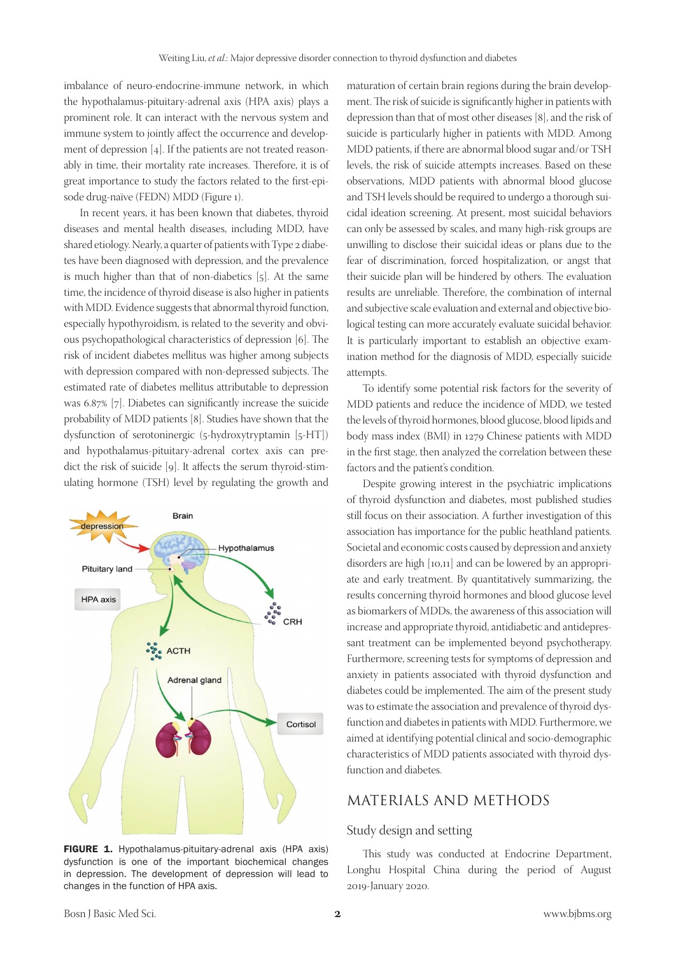imbalance of neuro-endocrine-immune network, in which the hypothalamus-pituitary-adrenal axis (HPA axis) plays a prominent role. It can interact with the nervous system and immune system to jointly affect the occurrence and development of depression [4]. If the patients are not treated reasonably in time, their mortality rate increases. Therefore, it is of great importance to study the factors related to the first-episode drug-naïve (FEDN) MDD (Figure 1).

In recent years, it has been known that diabetes, thyroid diseases and mental health diseases, including MDD, have shared etiology. Nearly, a quarter of patients with Type 2 diabetes have been diagnosed with depression, and the prevalence is much higher than that of non-diabetics [5]. At the same time, the incidence of thyroid disease is also higher in patients with MDD. Evidence suggests that abnormal thyroid function, especially hypothyroidism, is related to the severity and obvious psychopathological characteristics of depression [6]. The risk of incident diabetes mellitus was higher among subjects with depression compared with non-depressed subjects. The estimated rate of diabetes mellitus attributable to depression was 6.87% [7]. Diabetes can significantly increase the suicide probability of MDD patients [8]. Studies have shown that the dysfunction of serotoninergic (5-hydroxytryptamin [5-HT]) and hypothalamus-pituitary-adrenal cortex axis can predict the risk of suicide [9]. It affects the serum thyroid-stimulating hormone (TSH) level by regulating the growth and



FIGURE 1. Hypothalamus-pituitary-adrenal axis (HPA axis) dysfunction is one of the important biochemical changes in depression. The development of depression will lead to changes in the function of HPA axis.

maturation of certain brain regions during the brain development. The risk of suicide is significantly higher in patients with depression than that of most other diseases [8], and the risk of suicide is particularly higher in patients with MDD. Among MDD patients, if there are abnormal blood sugar and/or TSH levels, the risk of suicide attempts increases. Based on these observations, MDD patients with abnormal blood glucose and TSH levels should be required to undergo a thorough suicidal ideation screening. At present, most suicidal behaviors can only be assessed by scales, and many high-risk groups are unwilling to disclose their suicidal ideas or plans due to the fear of discrimination, forced hospitalization, or angst that their suicide plan will be hindered by others. The evaluation results are unreliable. Therefore, the combination of internal and subjective scale evaluation and external and objective biological testing can more accurately evaluate suicidal behavior. It is particularly important to establish an objective examination method for the diagnosis of MDD, especially suicide attempts.

To identify some potential risk factors for the severity of MDD patients and reduce the incidence of MDD, we tested the levels of thyroid hormones, blood glucose, blood lipids and body mass index (BMI) in 1279 Chinese patients with MDD in the first stage, then analyzed the correlation between these factors and the patient's condition.

Despite growing interest in the psychiatric implications of thyroid dysfunction and diabetes, most published studies still focus on their association. A further investigation of this association has importance for the public heathland patients. Societal and economic costs caused by depression and anxiety disorders are high [10,11] and can be lowered by an appropriate and early treatment. By quantitatively summarizing, the results concerning thyroid hormones and blood glucose level as biomarkers of MDDs, the awareness of this association will increase and appropriate thyroid, antidiabetic and antidepressant treatment can be implemented beyond psychotherapy. Furthermore, screening tests for symptoms of depression and anxiety in patients associated with thyroid dysfunction and diabetes could be implemented. The aim of the present study was to estimate the association and prevalence of thyroid dysfunction and diabetes in patients with MDD. Furthermore, we aimed at identifying potential clinical and socio-demographic characteristics of MDD patients associated with thyroid dysfunction and diabetes.

# MATERIALS AND METHODS

#### Study design and setting

This study was conducted at Endocrine Department, Longhu Hospital China during the period of August 2019-January 2020.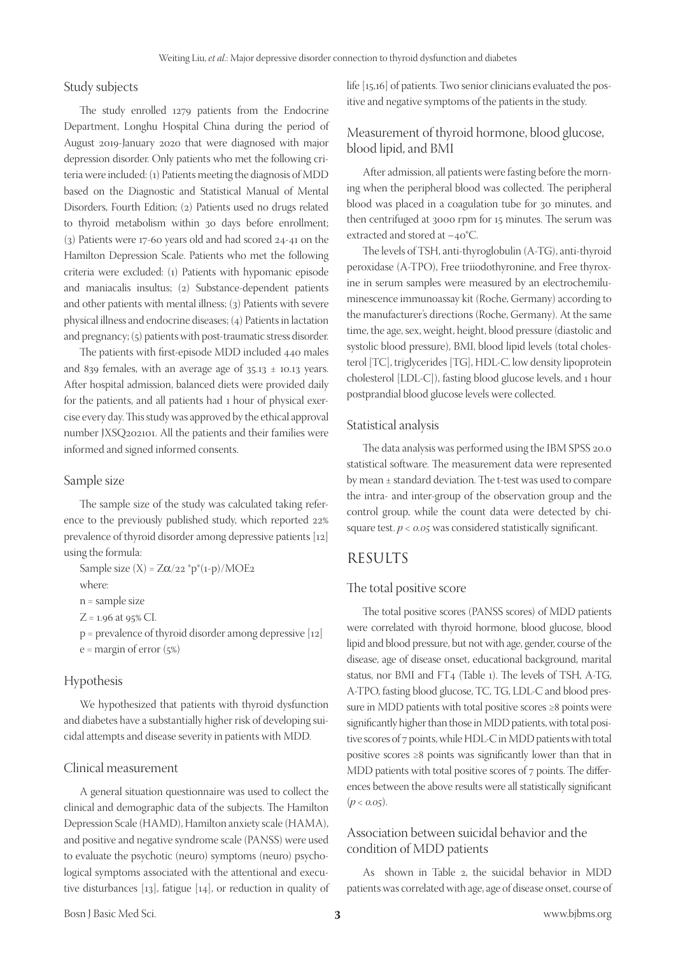#### Study subjects

The study enrolled 1279 patients from the Endocrine Department, Longhu Hospital China during the period of August 2019-January 2020 that were diagnosed with major depression disorder. Only patients who met the following criteria were included: (1) Patients meeting the diagnosis of MDD based on the Diagnostic and Statistical Manual of Mental Disorders, Fourth Edition; (2) Patients used no drugs related to thyroid metabolism within 30 days before enrollment; (3) Patients were 17-60 years old and had scored 24-41 on the Hamilton Depression Scale. Patients who met the following criteria were excluded: (1) Patients with hypomanic episode and maniacalis insultus; (2) Substance-dependent patients and other patients with mental illness; (3) Patients with severe physical illness and endocrine diseases; (4) Patients in lactation and pregnancy; (5) patients with post-traumatic stress disorder.

The patients with first-episode MDD included 440 males and 839 females, with an average age of  $35.13 \pm 10.13$  years. After hospital admission, balanced diets were provided daily for the patients, and all patients had 1 hour of physical exercise every day. This study was approved by the ethical approval number JXSQ202101. All the patients and their families were informed and signed informed consents.

#### Sample size

The sample size of the study was calculated taking reference to the previously published study, which reported 22% prevalence of thyroid disorder among depressive patients [12] using the formula:

Sample size  $(X) = Z\alpha/22$  \*p\*(1-p)/MOE2

where:

n = sample size

 $Z = 1.96$  at 95% CI.

p = prevalence of thyroid disorder among depressive [12]

 $e =$  margin of error  $(5%)$ 

#### Hypothesis

We hypothesized that patients with thyroid dysfunction and diabetes have a substantially higher risk of developing suicidal attempts and disease severity in patients with MDD.

### Clinical measurement

A general situation questionnaire was used to collect the clinical and demographic data of the subjects. The Hamilton Depression Scale (HAMD), Hamilton anxiety scale (HAMA), and positive and negative syndrome scale (PANSS) were used to evaluate the psychotic (neuro) symptoms (neuro) psychological symptoms associated with the attentional and executive disturbances [13], fatigue [14], or reduction in quality of

life [15,16] of patients. Two senior clinicians evaluated the positive and negative symptoms of the patients in the study.

# Measurement of thyroid hormone, blood glucose, blood lipid, and BMI

After admission, all patients were fasting before the morning when the peripheral blood was collected. The peripheral blood was placed in a coagulation tube for 30 minutes, and then centrifuged at 3000 rpm for 15 minutes. The serum was extracted and stored at –40°C.

The levels of TSH, anti-thyroglobulin (A-TG), anti-thyroid peroxidase (A-TPO), Free triiodothyronine, and Free thyroxine in serum samples were measured by an electrochemiluminescence immunoassay kit (Roche, Germany) according to the manufacturer's directions (Roche, Germany). At the same time, the age, sex, weight, height, blood pressure (diastolic and systolic blood pressure), BMI, blood lipid levels (total cholesterol [TC], triglycerides [TG], HDL-C, low density lipoprotein cholesterol [LDL-C]), fasting blood glucose levels, and 1 hour postprandial blood glucose levels were collected.

#### Statistical analysis

The data analysis was performed using the IBM SPSS 20.0 statistical software. The measurement data were represented by mean ± standard deviation. The t-test was used to compare the intra- and inter-group of the observation group and the control group, while the count data were detected by chisquare test. *p < 0.05* was considered statistically significant.

## RESULTS

#### The total positive score

The total positive scores (PANSS scores) of MDD patients were correlated with thyroid hormone, blood glucose, blood lipid and blood pressure, but not with age, gender, course of the disease, age of disease onset, educational background, marital status, nor BMI and FT4 (Table 1). The levels of TSH, A-TG, A-TPO, fasting blood glucose, TC, TG, LDL-C and blood pressure in MDD patients with total positive scores ≥8 points were significantly higher than those in MDD patients, with total positive scores of 7 points, while HDL-C in MDD patients with total positive scores ≥8 points was significantly lower than that in MDD patients with total positive scores of 7 points. The differences between the above results were all statistically significant  $(p < 0.05)$ .

# Association between suicidal behavior and the condition of MDD patients

As shown in Table 2, the suicidal behavior in MDD patients was correlated with age, age of disease onset, course of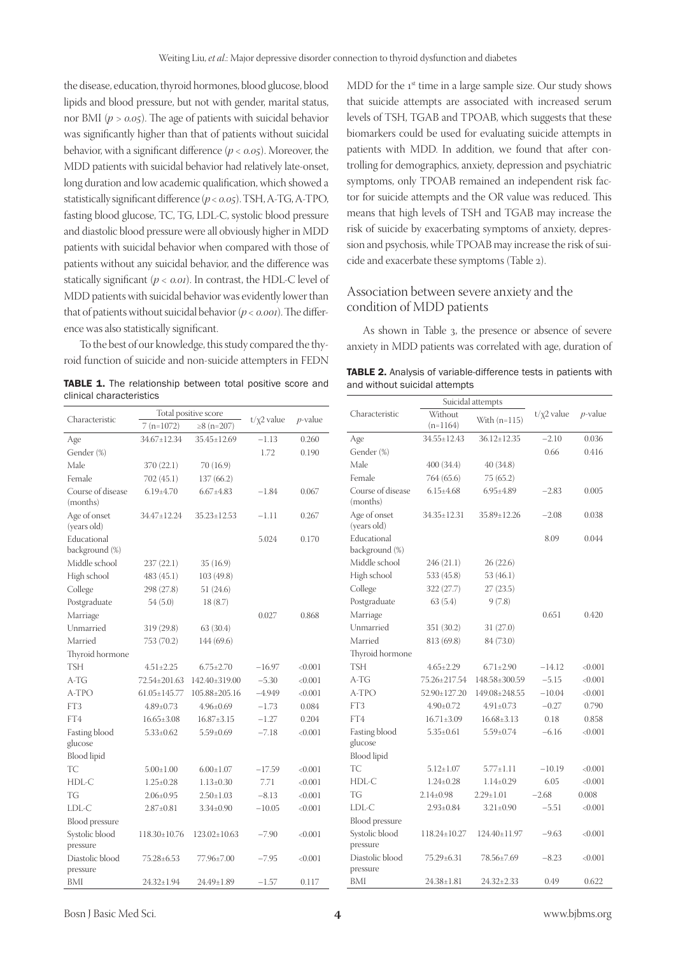the disease, education, thyroid hormones, blood glucose, blood lipids and blood pressure, but not with gender, marital status, nor BMI (*p > 0.05*). The age of patients with suicidal behavior was significantly higher than that of patients without suicidal behavior, with a significant difference (*p < 0.05*). Moreover, the MDD patients with suicidal behavior had relatively late-onset, long duration and low academic qualification, which showed a statistically significant difference (*p < 0.05*). TSH, A-TG, A-TPO, fasting blood glucose, TC, TG, LDL-C, systolic blood pressure and diastolic blood pressure were all obviously higher in MDD patients with suicidal behavior when compared with those of patients without any suicidal behavior, and the difference was statically significant (*p < 0.01*). In contrast, the HDL-C level of MDD patients with suicidal behavior was evidently lower than that of patients without suicidal behavior (*p < 0.001*). The difference was also statistically significant.

To the best of our knowledge, this study compared the thyroid function of suicide and non-suicide attempters in FEDN

TABLE 1. The relationship between total positive score and clinical characteristics

MDD for the 1<sup>st</sup> time in a large sample size. Our study shows that suicide attempts are associated with increased serum levels of TSH, TGAB and TPOAB, which suggests that these biomarkers could be used for evaluating suicide attempts in patients with MDD. In addition, we found that after controlling for demographics, anxiety, depression and psychiatric symptoms, only TPOAB remained an independent risk factor for suicide attempts and the OR value was reduced. This means that high levels of TSH and TGAB may increase the risk of suicide by exacerbating symptoms of anxiety, depression and psychosis, while TPOAB may increase the risk of suicide and exacerbate these symptoms (Table 2).

# Association between severe anxiety and the condition of MDD patients

As shown in Table 3, the presence or absence of severe anxiety in MDD patients was correlated with age, duration of

| <b>TABLE 2.</b> Analysis of variable-difference tests in patients with |  |
|------------------------------------------------------------------------|--|
| and without suicidal attempts                                          |  |

| clinical characteristics      |                      |                     |                  |            |                   |
|-------------------------------|----------------------|---------------------|------------------|------------|-------------------|
| Characteristic                | Total positive score |                     | $t/\chi$ 2 value | $p$ -value | Chara             |
|                               | $7(n=1072)$          | ≥8 (n=207)          |                  |            |                   |
| Age                           | 34.67±12.34          | 35.45±12.69         | $-1.13$          | 0.260      | Age               |
| Gender (%)                    |                      |                     | 1.72             | 0.190      | Gende             |
| Male                          | 370 (22.1)           | 70(16.9)            |                  |            | Male              |
| Female                        | 702 (45.1)           | 137(66.2)           |                  |            | Femal             |
| Course of disease<br>(months) | $6.19{\pm}4.70$      | $6.67 \pm 4.83$     | $-1.84$          | 0.067      | Cours<br>(mont    |
| Age of onset<br>(years old)   | 34.47±12.24          | $35.23 \pm 12.53$   | $-1.11$          | 0.267      | Age of<br>(years) |
| Educational<br>background (%) |                      |                     | 5.024            | 0.170      | Educa<br>backgı   |
| Middle school                 | 237(22.1)            | 35(16.9)            |                  |            | Middl             |
| High school                   | 483 (45.1)           | 103 (49.8)          |                  |            | High s            |
| College                       | 298 (27.8)           | 51 (24.6)           |                  |            | Colleg            |
| Postgraduate                  | 54 (5.0)             | 18(8.7)             |                  |            | Postgr            |
| Marriage                      |                      |                     | 0.027            | 0.868      | Marria            |
| Unmarried                     | 319 (29.8)           | 63 (30.4)           |                  |            | Unma              |
| Married                       | 753 (70.2)           | 144 (69.6)          |                  |            | Marrie            |
| Thyroid hormone               |                      |                     |                  |            | Thyroi            |
| <b>TSH</b>                    | $4.51 \pm 2.25$      | $6.75 \pm 2.70$     | $-16.97$         | < 0.001    | <b>TSH</b>        |
| A-TG                          | 72.54±201.63         | 142.40±319.00       | $-5.30$          | < 0.001    | $A-TG$            |
| A-TPO                         | $61.05 \pm 145.77$   | $105.88 \pm 205.16$ | $-4.949$         | < 0.001    | A-TPO             |
| FT3                           | $4.89 \pm 0.73$      | $4.96 \pm 0.69$     | $-1.73$          | 0.084      | FT3               |
| FT4                           | $16.65 \pm 3.08$     | $16.87 \pm 3.15$    | $-1.27$          | 0.204      | FT4               |
| Fasting blood                 | $5.33 \pm 0.62$      | $5.59 \pm 0.69$     | $-7.18$          | < 0.001    | Fasting           |
| glucose                       |                      |                     |                  |            | glucos            |
| <b>Blood</b> lipid            |                      |                     |                  |            | Blood             |
| TC                            | $5.00 \pm 1.00$      | $6.00 \pm 1.07$     | $-17.59$         | < 0.001    | TC                |
| HDL-C                         | $1.25 \pm 0.28$      | $1.13 \pm 0.30$     | 7.71             | < 0.001    | HDL-              |
| TG                            | $2.06 \pm 0.95$      | $2.50 \pm 1.03$     | $-8.13$          | < 0.001    | TG                |
| LDL-C                         | $2.87 \pm 0.81$      | $3.34 \pm 0.90$     | $-10.05$         | <0.001     | LDL-C             |
| Blood pressure                |                      |                     |                  |            | Blood             |
| Systolic blood<br>pressure    | $118.30 \pm 10.76$   | $123.02 \pm 10.63$  | $-7.90$          | < 0.001    | Systoli<br>pressu |
| Diastolic blood<br>pressure   | 75.28±6.53           | 77.96±7.00          | $-7.95$          | < 0.001    | Diasto<br>pressu  |
| BMI                           | 24.32±1.94           | 24.49±1.89          | $-1.57$          | 0.117      | BMI               |

|                               |                       | Suicidal attempts |                  |                 |
|-------------------------------|-----------------------|-------------------|------------------|-----------------|
| Characteristic                | Without<br>$(n=1164)$ | With $(n=115)$    | $t/\chi$ 2 value | <i>p</i> -value |
| Age                           | 34.55±12.43           | $36.12 \pm 12.35$ | $-2.10$          | 0.036           |
| Gender (%)                    |                       |                   | 0.66             | 0.416           |
| Male                          | 400 (34.4)            | 40 (34.8)         |                  |                 |
| Female                        | 764 (65.6)            | 75 (65.2)         |                  |                 |
| Course of disease<br>(months) | $6.15 \pm 4.68$       | $6.95 \pm 4.89$   | $-2.83$          | 0.005           |
| Age of onset<br>(years old)   | 34.35±12.31           | 35.89±12.26       | $-2.08$          | 0.038           |
| Educational<br>background (%) |                       |                   | 8.09             | 0.044           |
| Middle school                 | 246 (21.1)            | 26(22.6)          |                  |                 |
| High school                   | 533 (45.8)            | 53 (46.1)         |                  |                 |
| College                       | 322 (27.7)            | 27 (23.5)         |                  |                 |
| Postgraduate                  | 63(5.4)               | 9(7.8)            |                  |                 |
| Marriage                      |                       |                   | 0.651            | 0.420           |
| Unmarried                     | 351 (30.2)            | 31(27.0)          |                  |                 |
| Married                       | 813 (69.8)            | 84 (73.0)         |                  |                 |
| Thyroid hormone               |                       |                   |                  |                 |
| <b>TSH</b>                    | $4.65 \pm 2.29$       | $6.71 \pm 2.90$   | $-14.12$         | < 0.001         |
| a-tg                          | 75.26±217.54          | 148.58±300.59     | $-5.15$          | < 0.001         |
| A-TPO                         | 52.90±127.20          | 149.08±248.55     | $-10.04$         | < 0.001         |
| FT3                           | $4.90 \pm 0.72$       | $4.91 \pm 0.73$   | $-0.27$          | 0.790           |
| FT4                           | $16.71 \pm 3.09$      | $16.68 \pm 3.13$  | 0.18             | 0.858           |
| Fasting blood<br>glucose      | $5.35 \pm 0.61$       | $5.59 \pm 0.74$   | $-6.16$          | < 0.001         |
| <b>Blood</b> lipid            |                       |                   |                  |                 |
| TC                            | $5.12 \pm 1.07$       | $5.77 \pm 1.11$   | $-10.19$         | < 0.001         |
| HDL-C                         | $1.24 \pm 0.28$       | $1.14 \pm 0.29$   | 6.05             | < 0.001         |
| TG                            | $2.14 \pm 0.98$       | $2.29 \pm 1.01$   | $-2.68$          | 0.008           |
| LDL-C                         | $2.93 \pm 0.84$       | $3.21 \pm 0.90$   | $-5.51$          | < 0.001         |
| <b>Blood</b> pressure         |                       |                   |                  |                 |
| Systolic blood<br>pressure    | 118.24±10.27          | 124.40±11.97      | $-9.63$          | < 0.001         |
| Diastolic blood<br>pressure   | 75.29±6.31            | 78.56±7.69        | $-8.23$          | < 0.001         |
| BMI                           | $24.38 \pm 1.81$      | $24.32 \pm 2.33$  | 0.49             | 0.622           |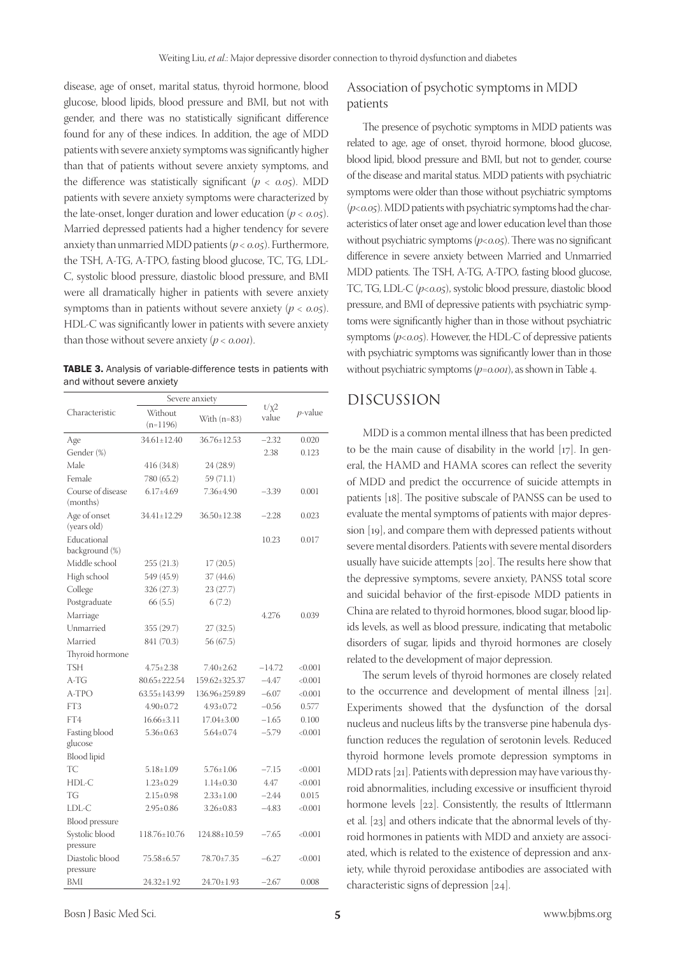disease, age of onset, marital status, thyroid hormone, blood glucose, blood lipids, blood pressure and BMI, but not with gender, and there was no statistically significant difference found for any of these indices. In addition, the age of MDD patients with severe anxiety symptoms was significantly higher than that of patients without severe anxiety symptoms, and the difference was statistically significant (*p < 0.05*). MDD patients with severe anxiety symptoms were characterized by the late-onset, longer duration and lower education  $(p < 0.05)$ . Married depressed patients had a higher tendency for severe anxiety than unmarried MDD patients (*p < 0.05*). Furthermore, the TSH, A-TG, A-TPO, fasting blood glucose, TC, TG, LDL-C, systolic blood pressure, diastolic blood pressure, and BMI were all dramatically higher in patients with severe anxiety symptoms than in patients without severe anxiety (*p < 0.05*). HDL-C was significantly lower in patients with severe anxiety than those without severe anxiety (*p < 0.001*).

TABLE 3. Analysis of variable-difference tests in patients with and without severe anxiety

|                               | Severe anxiety        |                    |                     |            |
|-------------------------------|-----------------------|--------------------|---------------------|------------|
| Characteristic                | Without<br>$(n=1196)$ | With $(n=83)$      | $t/\chi 2$<br>value | $p$ -value |
| Age                           | 34.61±12.40           | 36.76±12.53        | $-2.32$             | 0.020      |
| Gender (%)                    |                       |                    | 2.38                | 0.123      |
| Male                          | 416 (34.8)            | 24 (28.9)          |                     |            |
| Female                        | 780 (65.2)            | 59 (71.1)          |                     |            |
| Course of disease<br>(months) | $6.17{\pm}4.69$       | 7.36±4.90          | $-3.39$             | 0.001      |
| Age of onset<br>(years old)   | 34.41±12.29           | $36.50 \pm 12.38$  | $-2.28$             | 0.023      |
| Educational<br>background (%) |                       |                    | 10.23               | 0.017      |
| Middle school                 | 255(21.3)             | 17(20.5)           |                     |            |
| High school                   | 549 (45.9)            | 37 (44.6)          |                     |            |
| College                       | 326 (27.3)            | 23 (27.7)          |                     |            |
| Postgraduate                  | 66(5.5)               | 6(7.2)             |                     |            |
| Marriage                      |                       |                    | 4.276               | 0.039      |
| Unmarried                     | 355 (29.7)            | 27(32.5)           |                     |            |
| Married                       | 841 (70.3)            | 56 (67.5)          |                     |            |
| Thyroid hormone               |                       |                    |                     |            |
| TSH                           | $4.75 \pm 2.38$       | $7.40 \pm 2.62$    | $-14.72$            | < 0.001    |
| A-TG                          | 80.65±222.54          | 159.62±325.37      | $-4.47$             | < 0.001    |
| A-TPO                         | $63.55 \pm 143.99$    | 136.96±259.89      | $-6.07$             | < 0.001    |
| FT3                           | $4.90 + 0.72$         | $4.93 \pm 0.72$    | $-0.56$             | 0.577      |
| FT4                           | $16.66 \pm 3.11$      | $17.04 \pm 3.00$   | $-1.65$             | 0.100      |
| Fasting blood                 | $5.36 \pm 0.63$       | $5.64 \pm 0.74$    | $-5.79$             | < 0.001    |
| glucose                       |                       |                    |                     |            |
| <b>Blood</b> lipid            |                       |                    |                     |            |
| TC                            | $5.18 \pm 1.09$       | $5.76 \pm 1.06$    | $-7.15$             | < 0.001    |
| HDL-C                         | $1.23 \pm 0.29$       | $1.14 \pm 0.30$    | 4.47                | < 0.001    |
| TG                            | $2.15 \pm 0.98$       | $2.33 \pm 1.00$    | $-2.44$             | 0.015      |
| LDL-C                         | $2.95 \pm 0.86$       | $3.26 \pm 0.83$    | $-4.83$             | < 0.001    |
| <b>Blood</b> pressure         |                       |                    |                     |            |
| Systolic blood                | 118.76±10.76          | $124.88 \pm 10.59$ | $-7.65$             | < 0.001    |
| pressure                      |                       |                    |                     |            |
| Diastolic blood               | 75.58±6.57            | 78.70±7.35         | $-6.27$             | < 0.001    |
| pressure                      |                       |                    |                     |            |
| BMI                           | $24.32 \pm 1.92$      | $24.70 \pm 1.93$   | $-2.67$             | 0.008      |

# Association of psychotic symptoms in MDD patients

The presence of psychotic symptoms in MDD patients was related to age, age of onset, thyroid hormone, blood glucose, blood lipid, blood pressure and BMI, but not to gender, course of the disease and marital status. MDD patients with psychiatric symptoms were older than those without psychiatric symptoms (*p<0.05*). MDD patients with psychiatric symptoms had the characteristics of later onset age and lower education level than those without psychiatric symptoms ( $p<sub>0.05</sub>$ ). There was no significant difference in severe anxiety between Married and Unmarried MDD patients. The TSH, A-TG, A-TPO, fasting blood glucose, TC, TG, LDL-C ( $p<sub>0.05</sub>$ ), systolic blood pressure, diastolic blood pressure, and BMI of depressive patients with psychiatric symptoms were significantly higher than in those without psychiatric symptoms ( $p<sub>0.05</sub>$ ). However, the HDL-C of depressive patients with psychiatric symptoms was significantly lower than in those without psychiatric symptoms (*p=0.001*), as shown in Table 4.

# DISCUSSION

MDD is a common mental illness that has been predicted to be the main cause of disability in the world [17]. In general, the HAMD and HAMA scores can reflect the severity of MDD and predict the occurrence of suicide attempts in patients [18]. The positive subscale of PANSS can be used to evaluate the mental symptoms of patients with major depression [19], and compare them with depressed patients without severe mental disorders. Patients with severe mental disorders usually have suicide attempts [20]. The results here show that the depressive symptoms, severe anxiety, PANSS total score and suicidal behavior of the first-episode MDD patients in China are related to thyroid hormones, blood sugar, blood lipids levels, as well as blood pressure, indicating that metabolic disorders of sugar, lipids and thyroid hormones are closely related to the development of major depression.

The serum levels of thyroid hormones are closely related to the occurrence and development of mental illness [21]. Experiments showed that the dysfunction of the dorsal nucleus and nucleus lifts by the transverse pine habenula dysfunction reduces the regulation of serotonin levels. Reduced thyroid hormone levels promote depression symptoms in MDD rats [21]. Patients with depression may have various thyroid abnormalities, including excessive or insufficient thyroid hormone levels [22]. Consistently, the results of Ittlermann et al. [23] and others indicate that the abnormal levels of thyroid hormones in patients with MDD and anxiety are associated, which is related to the existence of depression and anxiety, while thyroid peroxidase antibodies are associated with characteristic signs of depression [24].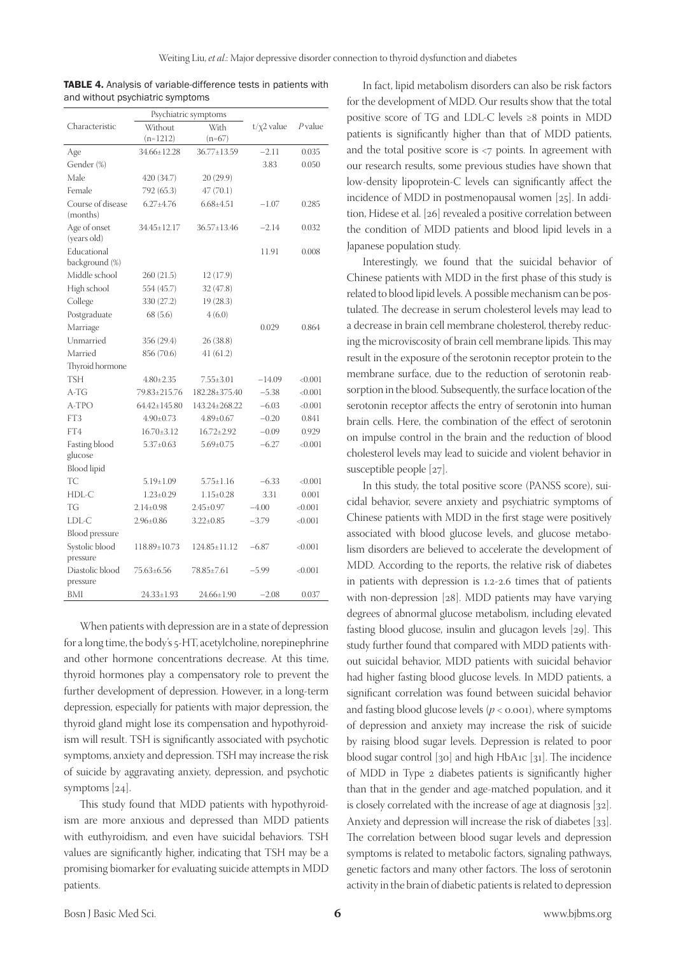| Psychiatric symptoms          |                    |                   |                  |         |
|-------------------------------|--------------------|-------------------|------------------|---------|
| Characteristic                | Without            | With              | $t/\chi$ 2 value | P value |
|                               | $(n=1212)$         | $(n=67)$          |                  |         |
| Age                           | 34.66±12.28        | 36.77±13.59       | $-2.11$          | 0.035   |
| Gender (%)                    |                    |                   | 3.83             | 0.050   |
| Male                          | 420 (34.7)         | 20(29.9)          |                  |         |
| Female                        | 792 (65.3)         | 47(70.1)          |                  |         |
| Course of disease<br>(months) | $6.27 \pm 4.76$    | $6.68{\pm}4.51$   | $-1.07$          | 0.285   |
| Age of onset<br>(years old)   | 34.45±12.17        | $36.57 \pm 13.46$ | $-2.14$          | 0.032   |
| Educational<br>background (%) |                    |                   | 11.91            | 0.008   |
| Middle school                 | 260(21.5)          | 12 (17.9)         |                  |         |
| High school                   | 554 (45.7)         | 32 (47.8)         |                  |         |
| College                       | 330 (27.2)         | 19 (28.3)         |                  |         |
| Postgraduate                  | 68 (5.6)           | 4(6.0)            |                  |         |
| Marriage                      |                    |                   | 0.029            | 0.864   |
| Unmarried                     | 356 (29.4)         | 26(38.8)          |                  |         |
| Married                       | 856 (70.6)         | 41(61.2)          |                  |         |
| Thyroid hormone               |                    |                   |                  |         |
| <b>TSH</b>                    | $4.80 \pm 2.35$    | $7.55 \pm 3.01$   | $-14.09$         | < 0.001 |
| A-TG                          | 79.83±215.76       | 182.28±375.40     | $-5.38$          | < 0.001 |
| A-TPO                         | $64.42 \pm 145.80$ | 143.24±268.22     | $-6.03$          | < 0.001 |
| FT3                           | $4.90 \pm 0.73$    | $4.89 \pm 0.67$   | $-0.20$          | 0.841   |
| FT4                           | $16.70 \pm 3.12$   | $16.72 \pm 2.92$  | $-0.09$          | 0.929   |
| Fasting blood                 | $5.37 \pm 0.63$    | $5.69 \pm 0.75$   | $-6.27$          | < 0.001 |
| glucose                       |                    |                   |                  |         |
| <b>Blood</b> lipid            |                    |                   |                  |         |
| TC                            | $5.19 \pm 1.09$    | $5.75 \pm 1.16$   | $-6.33$          | < 0.001 |
| HDL-C                         | $1.23 \pm 0.29$    | $1.15 \pm 0.28$   | 3.31             | 0.001   |
| TG                            | $2.14 + 0.98$      | $2.45+0.97$       | $-4.00$          | < 0.001 |
| LDL-C                         | $2.96 \pm 0.86$    | $3.22 \pm 0.85$   | $-3.79$          | < 0.001 |
| Blood pressure                |                    |                   |                  |         |
| Systolic blood<br>pressure    | 118.89±10.73       | 124.85±11.12      | $-6.87$          | < 0.001 |
| Diastolic blood<br>pressure   | 75.63±6.56         | 78.85±7.61        | -5.99            | <0.001  |
| BMI                           | 24.33±1.93         | 24.66±1.90        | $-2.08$          | 0.037   |

TABLE 4. Analysis of variable-difference tests in patients with and without psychiatric symptoms

When patients with depression are in a state of depression for a long time, the body's 5-HT, acetylcholine, norepinephrine and other hormone concentrations decrease. At this time, thyroid hormones play a compensatory role to prevent the further development of depression. However, in a long-term depression, especially for patients with major depression, the thyroid gland might lose its compensation and hypothyroidism will result. TSH is significantly associated with psychotic symptoms, anxiety and depression. TSH may increase the risk of suicide by aggravating anxiety, depression, and psychotic symptoms [24].

This study found that MDD patients with hypothyroidism are more anxious and depressed than MDD patients with euthyroidism, and even have suicidal behaviors. TSH values are significantly higher, indicating that TSH may be a promising biomarker for evaluating suicide attempts in MDD patients.

In fact, lipid metabolism disorders can also be risk factors for the development of MDD. Our results show that the total positive score of TG and LDL-C levels ≥8 points in MDD patients is significantly higher than that of MDD patients, and the total positive score is <7 points. In agreement with our research results, some previous studies have shown that low-density lipoprotein-C levels can significantly affect the incidence of MDD in postmenopausal women [25]. In addition, Hidese et al. [26] revealed a positive correlation between the condition of MDD patients and blood lipid levels in a Japanese population study.

Interestingly, we found that the suicidal behavior of Chinese patients with MDD in the first phase of this study is related to blood lipid levels. A possible mechanism can be postulated. The decrease in serum cholesterol levels may lead to a decrease in brain cell membrane cholesterol, thereby reducing the microviscosity of brain cell membrane lipids. This may result in the exposure of the serotonin receptor protein to the membrane surface, due to the reduction of serotonin reabsorption in the blood. Subsequently, the surface location of the serotonin receptor affects the entry of serotonin into human brain cells. Here, the combination of the effect of serotonin on impulse control in the brain and the reduction of blood cholesterol levels may lead to suicide and violent behavior in susceptible people [27].

In this study, the total positive score (PANSS score), suicidal behavior, severe anxiety and psychiatric symptoms of Chinese patients with MDD in the first stage were positively associated with blood glucose levels, and glucose metabolism disorders are believed to accelerate the development of MDD. According to the reports, the relative risk of diabetes in patients with depression is 1.2-2.6 times that of patients with non-depression [28]. MDD patients may have varying degrees of abnormal glucose metabolism, including elevated fasting blood glucose, insulin and glucagon levels [29]. This study further found that compared with MDD patients without suicidal behavior, MDD patients with suicidal behavior had higher fasting blood glucose levels. In MDD patients, a significant correlation was found between suicidal behavior and fasting blood glucose levels  $(p < 0.001)$ , where symptoms of depression and anxiety may increase the risk of suicide by raising blood sugar levels. Depression is related to poor blood sugar control [30] and high HbA1c [31]. The incidence of MDD in Type 2 diabetes patients is significantly higher than that in the gender and age-matched population, and it is closely correlated with the increase of age at diagnosis [32]. Anxiety and depression will increase the risk of diabetes [33]. The correlation between blood sugar levels and depression symptoms is related to metabolic factors, signaling pathways, genetic factors and many other factors. The loss of serotonin activity in the brain of diabetic patients is related to depression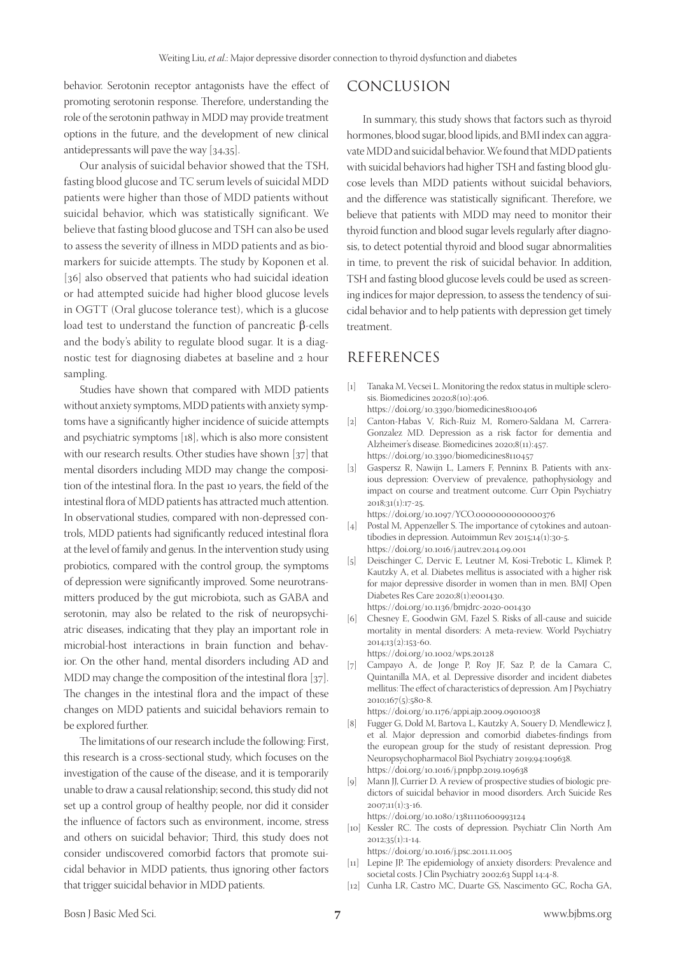behavior. Serotonin receptor antagonists have the effect of promoting serotonin response. Therefore, understanding the role of the serotonin pathway in MDD may provide treatment options in the future, and the development of new clinical antidepressants will pave the way [34,35].

Our analysis of suicidal behavior showed that the TSH, fasting blood glucose and TC serum levels of suicidal MDD patients were higher than those of MDD patients without suicidal behavior, which was statistically significant. We believe that fasting blood glucose and TSH can also be used to assess the severity of illness in MDD patients and as biomarkers for suicide attempts. The study by Koponen et al. [36] also observed that patients who had suicidal ideation or had attempted suicide had higher blood glucose levels in OGTT (Oral glucose tolerance test), which is a glucose load test to understand the function of pancreatic β-cells and the body's ability to regulate blood sugar. It is a diagnostic test for diagnosing diabetes at baseline and 2 hour sampling.

Studies have shown that compared with MDD patients without anxiety symptoms, MDD patients with anxiety symptoms have a significantly higher incidence of suicide attempts and psychiatric symptoms [18], which is also more consistent with our research results. Other studies have shown [37] that mental disorders including MDD may change the composition of the intestinal flora. In the past 10 years, the field of the intestinal flora of MDD patients has attracted much attention. In observational studies, compared with non-depressed controls, MDD patients had significantly reduced intestinal flora at the level of family and genus. In the intervention study using probiotics, compared with the control group, the symptoms of depression were significantly improved. Some neurotransmitters produced by the gut microbiota, such as GABA and serotonin, may also be related to the risk of neuropsychiatric diseases, indicating that they play an important role in microbial-host interactions in brain function and behavior. On the other hand, mental disorders including AD and MDD may change the composition of the intestinal flora [37]. The changes in the intestinal flora and the impact of these changes on MDD patients and suicidal behaviors remain to be explored further.

The limitations of our research include the following: First, this research is a cross-sectional study, which focuses on the investigation of the cause of the disease, and it is temporarily unable to draw a causal relationship; second, this study did not set up a control group of healthy people, nor did it consider the influence of factors such as environment, income, stress and others on suicidal behavior; Third, this study does not consider undiscovered comorbid factors that promote suicidal behavior in MDD patients, thus ignoring other factors that trigger suicidal behavior in MDD patients.

# CONCLUSION

In summary, this study shows that factors such as thyroid hormones, blood sugar, blood lipids, and BMI index can aggravate MDD and suicidal behavior. We found that MDD patients with suicidal behaviors had higher TSH and fasting blood glucose levels than MDD patients without suicidal behaviors, and the difference was statistically significant. Therefore, we believe that patients with MDD may need to monitor their thyroid function and blood sugar levels regularly after diagnosis, to detect potential thyroid and blood sugar abnormalities in time, to prevent the risk of suicidal behavior. In addition, TSH and fasting blood glucose levels could be used as screening indices for major depression, to assess the tendency of suicidal behavior and to help patients with depression get timely treatment.

# REFERENCES

- [1] Tanaka M, Vecsei L. Monitoring the redox status in multiple sclerosis. Biomedicines 2020;8(10):406.
	- https://doi.org/10.3390/biomedicines8100406
- [2] Canton-Habas V, Rich-Ruiz M, Romero-Saldana M, Carrera-Gonzalez MD. Depression as a risk factor for dementia and Alzheimer's disease. Biomedicines 2020;8(11):457. https://doi.org/10.3390/biomedicines8110457
- [3] Gaspersz R, Nawijn L, Lamers F, Penninx B. Patients with anxious depression: Overview of prevalence, pathophysiology and impact on course and treatment outcome. Curr Opin Psychiatry 2018;31(1):17-25.
	- https://doi.org/10.1097/YCO.0000000000000376
- [4] Postal M, Appenzeller S. The importance of cytokines and autoantibodies in depression. Autoimmun Rev 2015;14(1):30-5. https://doi.org/10.1016/j.autrev.2014.09.001
- [5] Deischinger C, Dervic E, Leutner M, Kosi-Trebotic L, Klimek P, Kautzky A, et al. Diabetes mellitus is associated with a higher risk for major depressive disorder in women than in men. BMJ Open Diabetes Res Care 2020;8(1):e001430. https://doi.org/10.1136/bmjdrc-2020-001430
- [6] Chesney E, Goodwin GM, Fazel S. Risks of all-cause and suicide mortality in mental disorders: A meta-review. World Psychiatry 2014;13(2):153-60.
- https://doi.org/10.1002/wps.20128
- [7] Campayo A, de Jonge P, Roy JF, Saz P, de la Camara C, Quintanilla MA, et al. Depressive disorder and incident diabetes mellitus: The effect of characteristics of depression. Am J Psychiatry 2010;167(5):580-8.

https://doi.org/10.1176/appi.ajp.2009.09010038

- [8] Fugger G, Dold M, Bartova L, Kautzky A, Souery D, Mendlewicz J, et al. Major depression and comorbid diabetes-findings from the european group for the study of resistant depression. Prog Neuropsychopharmacol Biol Psychiatry 2019;94:109638. https://doi.org/10.1016/j.pnpbp.2019.109638
- [9] Mann JJ, Currier D. A review of prospective studies of biologic predictors of suicidal behavior in mood disorders. Arch Suicide Res 2007;11(1):3-16.

https://doi.org/10.1080/13811110600993124

[10] Kessler RC. The costs of depression. Psychiatr Clin North Am 2012;35(1):1-14.

https://doi.org/10.1016/j.psc.2011.11.005

- [11] Lepine JP. The epidemiology of anxiety disorders: Prevalence and societal costs. J Clin Psychiatry 2002;63 Suppl 14:4-8.
- [12] Cunha LR, Castro MC, Duarte GS, Nascimento GC, Rocha GA,